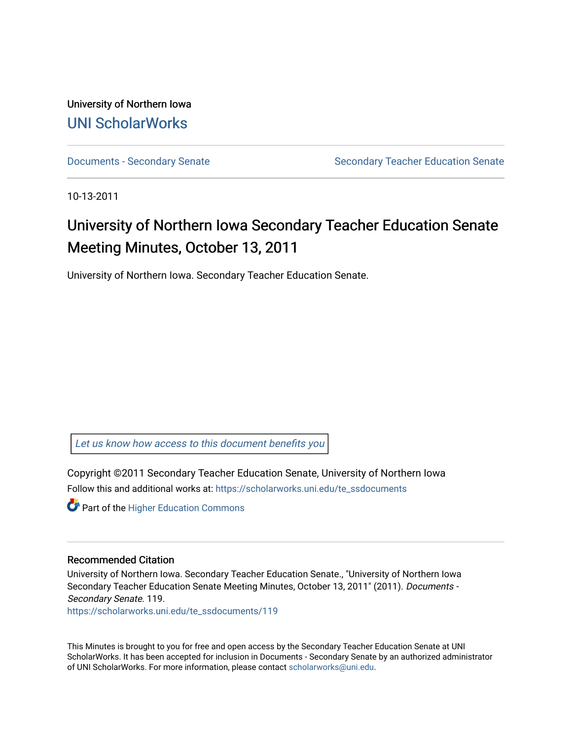University of Northern Iowa [UNI ScholarWorks](https://scholarworks.uni.edu/) 

[Documents - Secondary Senate](https://scholarworks.uni.edu/te_ssdocuments) Senate Secondary Teacher Education Senate

10-13-2011

# University of Northern Iowa Secondary Teacher Education Senate Meeting Minutes, October 13, 2011

University of Northern Iowa. Secondary Teacher Education Senate.

[Let us know how access to this document benefits you](https://scholarworks.uni.edu/feedback_form.html) 

Copyright ©2011 Secondary Teacher Education Senate, University of Northern Iowa Follow this and additional works at: [https://scholarworks.uni.edu/te\\_ssdocuments](https://scholarworks.uni.edu/te_ssdocuments?utm_source=scholarworks.uni.edu%2Fte_ssdocuments%2F119&utm_medium=PDF&utm_campaign=PDFCoverPages) 

**Part of the Higher Education Commons** 

#### Recommended Citation

University of Northern Iowa. Secondary Teacher Education Senate., "University of Northern Iowa Secondary Teacher Education Senate Meeting Minutes, October 13, 2011" (2011). Documents - Secondary Senate. 119.

[https://scholarworks.uni.edu/te\\_ssdocuments/119](https://scholarworks.uni.edu/te_ssdocuments/119?utm_source=scholarworks.uni.edu%2Fte_ssdocuments%2F119&utm_medium=PDF&utm_campaign=PDFCoverPages) 

This Minutes is brought to you for free and open access by the Secondary Teacher Education Senate at UNI ScholarWorks. It has been accepted for inclusion in Documents - Secondary Senate by an authorized administrator of UNI ScholarWorks. For more information, please contact [scholarworks@uni.edu](mailto:scholarworks@uni.edu).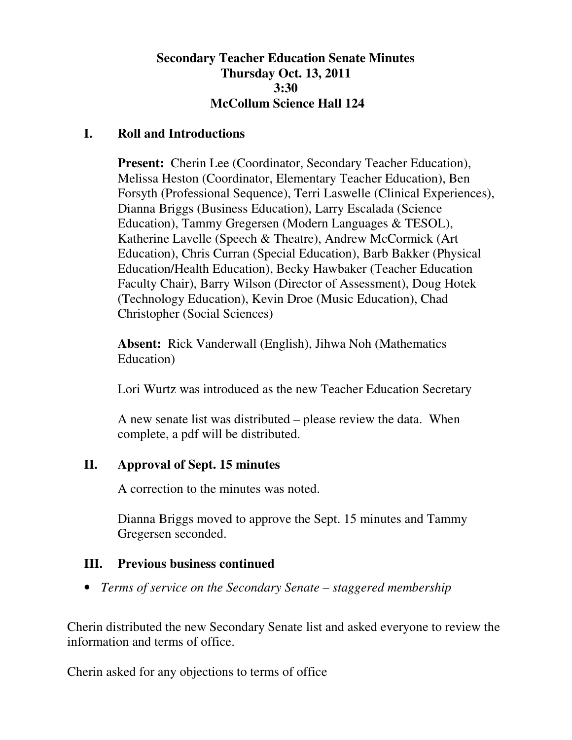#### **Secondary Teacher Education Senate Minutes Thursday Oct. 13, 2011 3:30 McCollum Science Hall 124**

#### **I. Roll and Introductions**

**Present:** Cherin Lee (Coordinator, Secondary Teacher Education), Melissa Heston (Coordinator, Elementary Teacher Education), Ben Forsyth (Professional Sequence), Terri Laswelle (Clinical Experiences), Dianna Briggs (Business Education), Larry Escalada (Science Education), Tammy Gregersen (Modern Languages & TESOL), Katherine Lavelle (Speech & Theatre), Andrew McCormick (Art Education), Chris Curran (Special Education), Barb Bakker (Physical Education/Health Education), Becky Hawbaker (Teacher Education Faculty Chair), Barry Wilson (Director of Assessment), Doug Hotek (Technology Education), Kevin Droe (Music Education), Chad Christopher (Social Sciences)

**Absent:** Rick Vanderwall (English), Jihwa Noh (Mathematics Education)

Lori Wurtz was introduced as the new Teacher Education Secretary

A new senate list was distributed – please review the data. When complete, a pdf will be distributed.

## **II. Approval of Sept. 15 minutes**

A correction to the minutes was noted.

Dianna Briggs moved to approve the Sept. 15 minutes and Tammy Gregersen seconded.

## **III. Previous business continued**

• *Terms of service on the Secondary Senate – staggered membership* 

Cherin distributed the new Secondary Senate list and asked everyone to review the information and terms of office.

Cherin asked for any objections to terms of office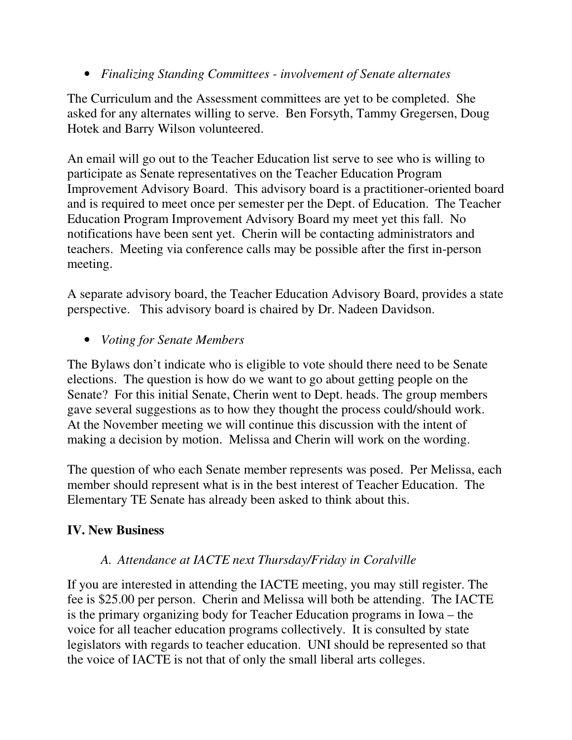• *Finalizing Standing Committees - involvement of Senate alternates* 

The Curriculum and the Assessment committees are yet to be completed. She asked for any alternates willing to serve. Ben Forsyth, Tammy Gregersen, Doug Hotek and Barry Wilson volunteered.

An email will go out to the Teacher Education list serve to see who is willing to participate as Senate representatives on the Teacher Education Program Improvement Advisory Board. This advisory board is a practitioner-oriented board and is required to meet once per semester per the Dept. of Education. The Teacher Education Program Improvement Advisory Board my meet yet this fall. No notifications have been sent yet. Cherin will be contacting administrators and teachers. Meeting via conference calls may be possible after the first in-person meeting.

A separate advisory board, the Teacher Education Advisory Board, provides a state perspective. This advisory board is chaired by Dr. Nadeen Davidson.

• *Voting for Senate Members* 

The Bylaws don't indicate who is eligible to vote should there need to be Senate elections. The question is how do we want to go about getting people on the Senate? For this initial Senate, Cherin went to Dept. heads. The group members gave several suggestions as to how they thought the process could/should work. At the November meeting we will continue this discussion with the intent of making a decision by motion. Melissa and Cherin will work on the wording.

The question of who each Senate member represents was posed. Per Melissa, each member should represent what is in the best interest of Teacher Education. The Elementary TE Senate has already been asked to think about this.

## **IV. New Business**

## *A. Attendance at IACTE next Thursday/Friday in Coralville*

If you are interested in attending the IACTE meeting, you may still register. The fee is \$25.00 per person. Cherin and Melissa will both be attending. The IACTE is the primary organizing body for Teacher Education programs in Iowa – the voice for all teacher education programs collectively. It is consulted by state legislators with regards to teacher education. UNI should be represented so that the voice of IACTE is not that of only the small liberal arts colleges.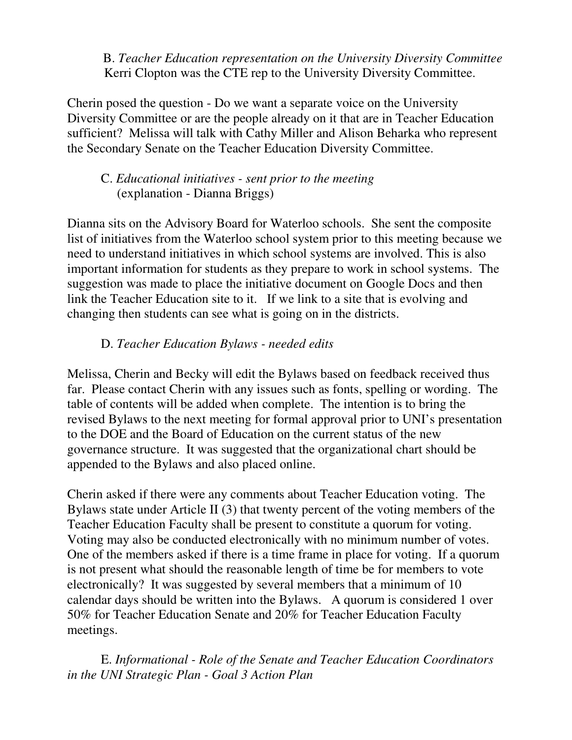B. *Teacher Education representation on the University Diversity Committee* Kerri Clopton was the CTE rep to the University Diversity Committee.

Cherin posed the question - Do we want a separate voice on the University Diversity Committee or are the people already on it that are in Teacher Education sufficient? Melissa will talk with Cathy Miller and Alison Beharka who represent the Secondary Senate on the Teacher Education Diversity Committee.

#### C. *Educational initiatives - sent prior to the meeting* (explanation - Dianna Briggs)

Dianna sits on the Advisory Board for Waterloo schools. She sent the composite list of initiatives from the Waterloo school system prior to this meeting because we need to understand initiatives in which school systems are involved. This is also important information for students as they prepare to work in school systems. The suggestion was made to place the initiative document on Google Docs and then link the Teacher Education site to it. If we link to a site that is evolving and changing then students can see what is going on in the districts.

## D. *Teacher Education Bylaws - needed edits*

Melissa, Cherin and Becky will edit the Bylaws based on feedback received thus far. Please contact Cherin with any issues such as fonts, spelling or wording. The table of contents will be added when complete. The intention is to bring the revised Bylaws to the next meeting for formal approval prior to UNI's presentation to the DOE and the Board of Education on the current status of the new governance structure. It was suggested that the organizational chart should be appended to the Bylaws and also placed online.

Cherin asked if there were any comments about Teacher Education voting. The Bylaws state under Article II (3) that twenty percent of the voting members of the Teacher Education Faculty shall be present to constitute a quorum for voting. Voting may also be conducted electronically with no minimum number of votes. One of the members asked if there is a time frame in place for voting. If a quorum is not present what should the reasonable length of time be for members to vote electronically? It was suggested by several members that a minimum of 10 calendar days should be written into the Bylaws. A quorum is considered 1 over 50% for Teacher Education Senate and 20% for Teacher Education Faculty meetings.

 E. *Informational - Role of the Senate and Teacher Education Coordinators in the UNI Strategic Plan - Goal 3 Action Plan*